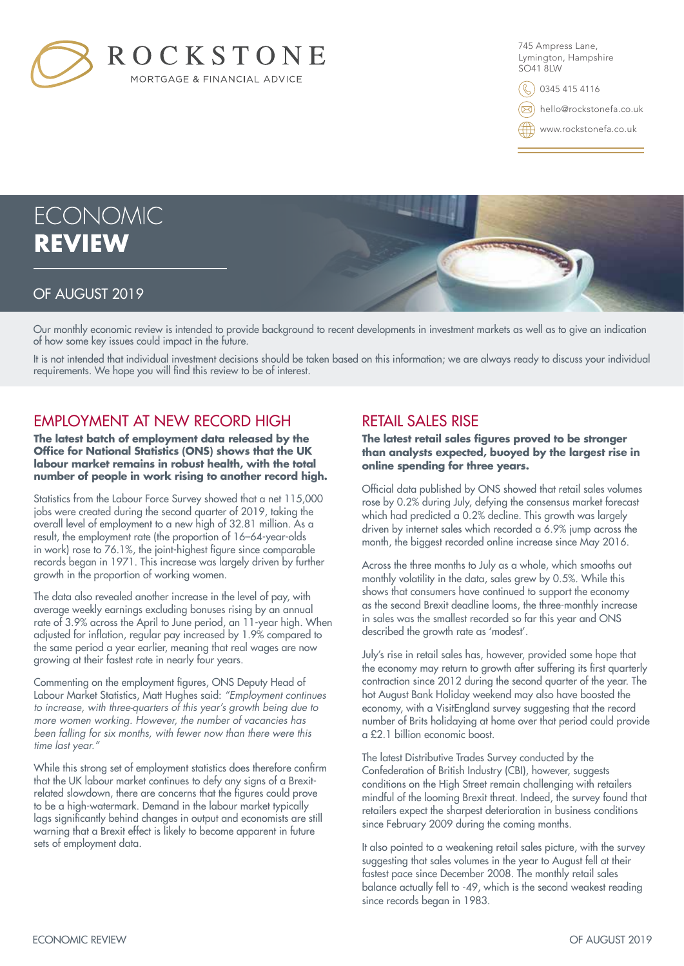

745 Ampress Lane, Lymington, Hampshire SO41 8LW

0345 415 4116

hello@rockstonefa.co.uk

www.rockstonefa.co.uk

# **ECONOMIC REVIEW**

# OF AUGUST 2019

Our monthly economic review is intended to provide background to recent developments in investment markets as well as to give an indication of how some key issues could impact in the future.

It is not intended that individual investment decisions should be taken based on this information; we are always ready to discuss your individual requirements. We hope you will find this review to be of interest.

# EMPLOYMENT AT NEW RECORD HIGH

**The latest batch of employment data released by the Office for National Statistics (ONS) shows that the UK labour market remains in robust health, with the total number of people in work rising to another record high.**

Statistics from the Labour Force Survey showed that a net 115,000 jobs were created during the second quarter of 2019, taking the overall level of employment to a new high of 32.81 million. As a result, the employment rate (the proportion of 16–64-year-olds in work) rose to 76.1%, the joint-highest figure since comparable records began in 1971. This increase was largely driven by further growth in the proportion of working women.

The data also revealed another increase in the level of pay, with average weekly earnings excluding bonuses rising by an annual rate of 3.9% across the April to June period, an 11-year high. When adjusted for inflation, regular pay increased by 1.9% compared to the same period a year earlier, meaning that real wages are now growing at their fastest rate in nearly four years.

Commenting on the employment figures, ONS Deputy Head of Labour Market Statistics, Matt Hughes said: *"Employment continues to increase, with three-quarters of this year's growth being due to more women working. However, the number of vacancies has been falling for six months, with fewer now than there were this time last year."*

While this strong set of employment statistics does therefore confirm that the UK labour market continues to defy any signs of a Brexitrelated slowdown, there are concerns that the figures could prove to be a high-watermark. Demand in the labour market typically lags significantly behind changes in output and economists are still warning that a Brexit effect is likely to become apparent in future sets of employment data.

## RETAIL SALES RISE

**The latest retail sales figures proved to be stronger than analysts expected, buoyed by the largest rise in online spending for three years.**

Official data published by ONS showed that retail sales volumes rose by 0.2% during July, defying the consensus market forecast which had predicted a 0.2% decline. This growth was largely driven by internet sales which recorded a 6.9% jump across the month, the biggest recorded online increase since May 2016.

Across the three months to July as a whole, which smooths out monthly volatility in the data, sales grew by 0.5%. While this shows that consumers have continued to support the economy as the second Brexit deadline looms, the three-monthly increase in sales was the smallest recorded so far this year and ONS described the growth rate as 'modest'.

July's rise in retail sales has, however, provided some hope that the economy may return to growth after suffering its first quarterly contraction since 2012 during the second quarter of the year. The hot August Bank Holiday weekend may also have boosted the economy, with a VisitEngland survey suggesting that the record number of Brits holidaying at home over that period could provide a £2.1 billion economic boost.

The latest Distributive Trades Survey conducted by the Confederation of British Industry (CBI), however, suggests conditions on the High Street remain challenging with retailers mindful of the looming Brexit threat. Indeed, the survey found that retailers expect the sharpest deterioration in business conditions since February 2009 during the coming months.

It also pointed to a weakening retail sales picture, with the survey suggesting that sales volumes in the year to August fell at their fastest pace since December 2008. The monthly retail sales balance actually fell to -49, which is the second weakest reading since records began in 1983.